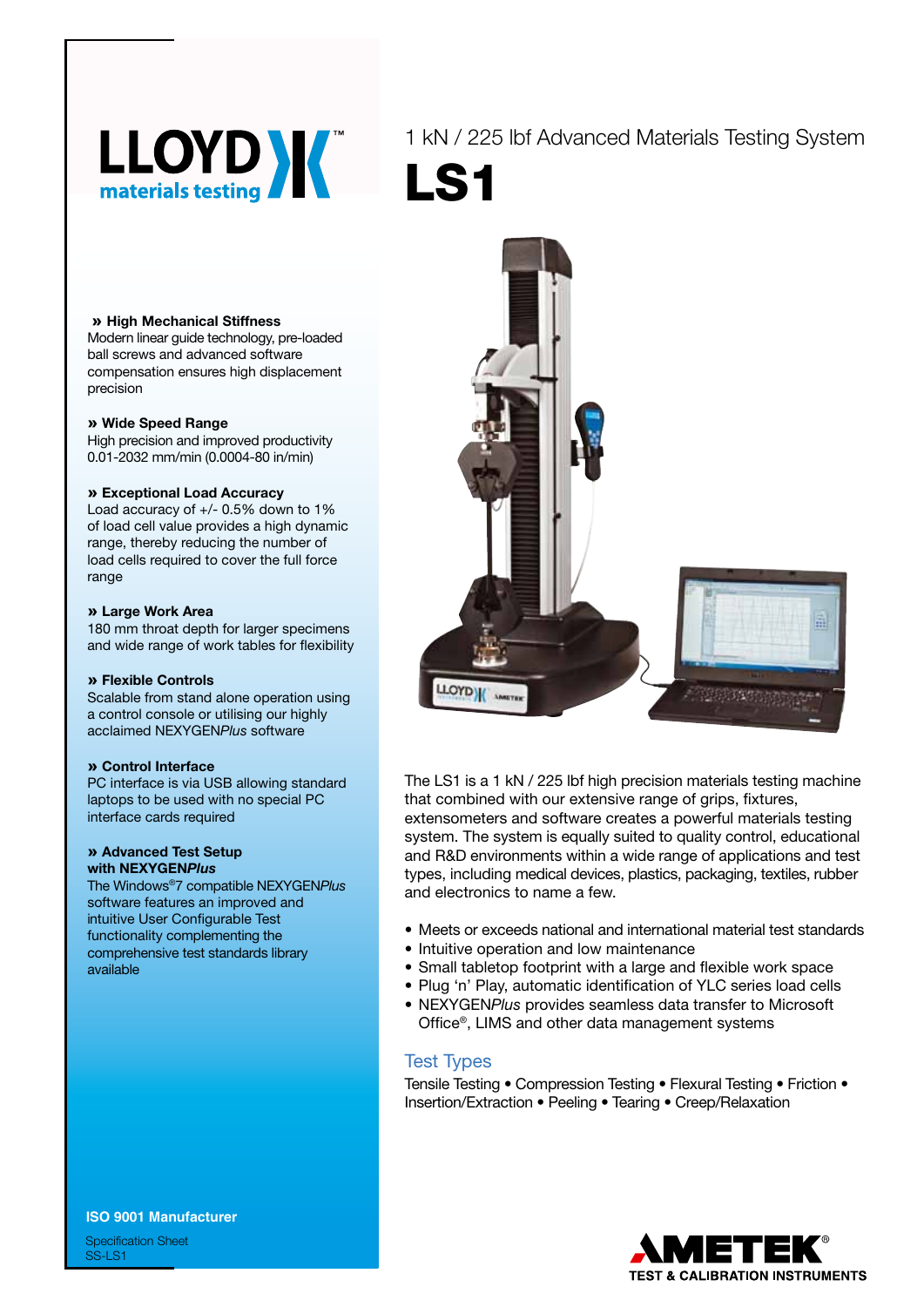

1 kN / 225 lbf Advanced Materials Testing System LS1

#### » **High Mechanical Stiffness**

Modern linear guide technology, pre-loaded ball screws and advanced software compensation ensures high displacement precision

#### » **Wide Speed Range**

High precision and improved productivity 0.01-2032 mm/min (0.0004-80 in/min)

#### » **Exceptional Load Accuracy**

Load accuracy of +/- 0.5% down to 1% of load cell value provides a high dynamic range, thereby reducing the number of load cells required to cover the full force range

#### » **Large Work Area**

180 mm throat depth for larger specimens and wide range of work tables for flexibility

#### » **Flexible Controls**

Scalable from stand alone operation using a control console or utilising our highly acclaimed NEXYGEN*Plus* software

#### » **Control Interface**

PC interface is via USB allowing standard laptops to be used with no special PC interface cards required

### » **Advanced Test Setup with NEXYGEN***Plus*

The Windows®7 compatible NEXYGEN*Plus* software features an improved and intuitive User Configurable Test functionality complementing the comprehensive test standards library available



Tensile Testing • Compression Testing • Flexural Testing • Friction • Insertion/Extraction • Peeling • Tearing • Creep/Relaxation



The LS1 is a 1 kN / 225 lbf high precision materials testing machine that combined with our extensive range of grips, fixtures, extensometers and software creates a powerful materials testing system. The system is equally suited to quality control, educational and R&D environments within a wide range of applications and test types, including medical devices, plastics, packaging, textiles, rubber and electronics to name a few.

- Meets or exceeds national and international material test standards • Intuitive operation and low maintenance
- Small tabletop footprint with a large and flexible work space
- Plug 'n' Play, automatic identification of YLC series load cells
- • NEXYGEN*Plus* provides seamless data transfer to Microsoft Office®, LIMS and other data management systems



Specification Sheet SS-LS1

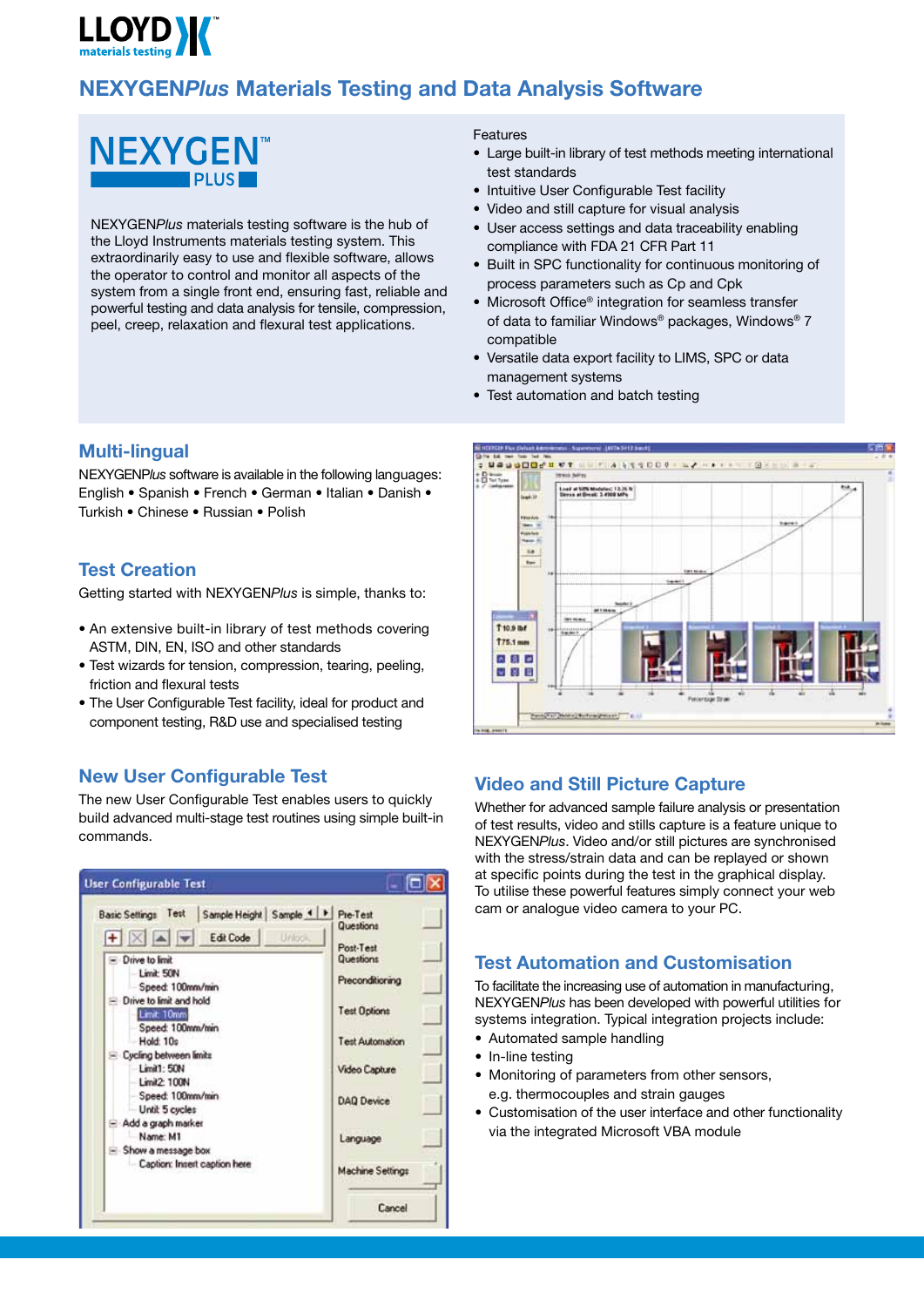# **LLOYD W**

## **NEXYGEN***Plus* **Materials Testing and Data Analysis Software**



NEXYGEN*Plus* materials testing software is the hub of the Lloyd Instruments materials testing system. This extraordinarily easy to use and flexible software, allows the operator to control and monitor all aspects of the system from a single front end, ensuring fast, reliable and powerful testing and data analysis for tensile, compression, peel, creep, relaxation and flexural test applications.

## **Multi-lingual**

NEXYGENP*lus* software is available in the following languages: English • Spanish • French • German • Italian • Danish • Turkish • Chinese • Russian • Polish

## **Test Creation**

Getting started with NEXYGEN*Plus* is simple, thanks to:

- An extensive built-in library of test methods covering ASTM, DIN, EN, ISO and other standards
- • Test wizards for tension, compression, tearing, peeling, friction and flexural tests
- The User Configurable Test facility, ideal for product and component testing, R&D use and specialised testing

## **New User Configurable Test**

The new User Configurable Test enables users to quickly build advanced multi-stage test routines using simple built-in commands.



#### **Features**

- Large built-in library of test methods meeting international test standards
- Intuitive User Configurable Test facility
- Video and still capture for visual analysis
- User access settings and data traceability enabling compliance with FDA 21 CFR Part 11
- Built in SPC functionality for continuous monitoring of process parameters such as Cp and Cpk
- Microsoft Office® integration for seamless transfer of data to familiar Windows® packages, Windows® 7 compatible
- Versatile data export facility to LIMS, SPC or data management systems
- Test automation and batch testing



## **Video and Still Picture Capture**

Whether for advanced sample failure analysis or presentation of test results, video and stills capture is a feature unique to NEXYGEN*Plus*. Video and/or still pictures are synchronised with the stress/strain data and can be replayed or shown at specific points during the test in the graphical display. To utilise these powerful features simply connect your web cam or analogue video camera to your PC.

## **Test Automation and Customisation**

To facilitate the increasing use of automation in manufacturing, NEXYGEN*Plus* has been developed with powerful utilities for systems integration. Typical integration projects include:

- Automated sample handling
- In-line testing
- Monitoring of parameters from other sensors, e.g. thermocouples and strain gauges
- Customisation of the user interface and other functionality via the integrated Microsoft VBA module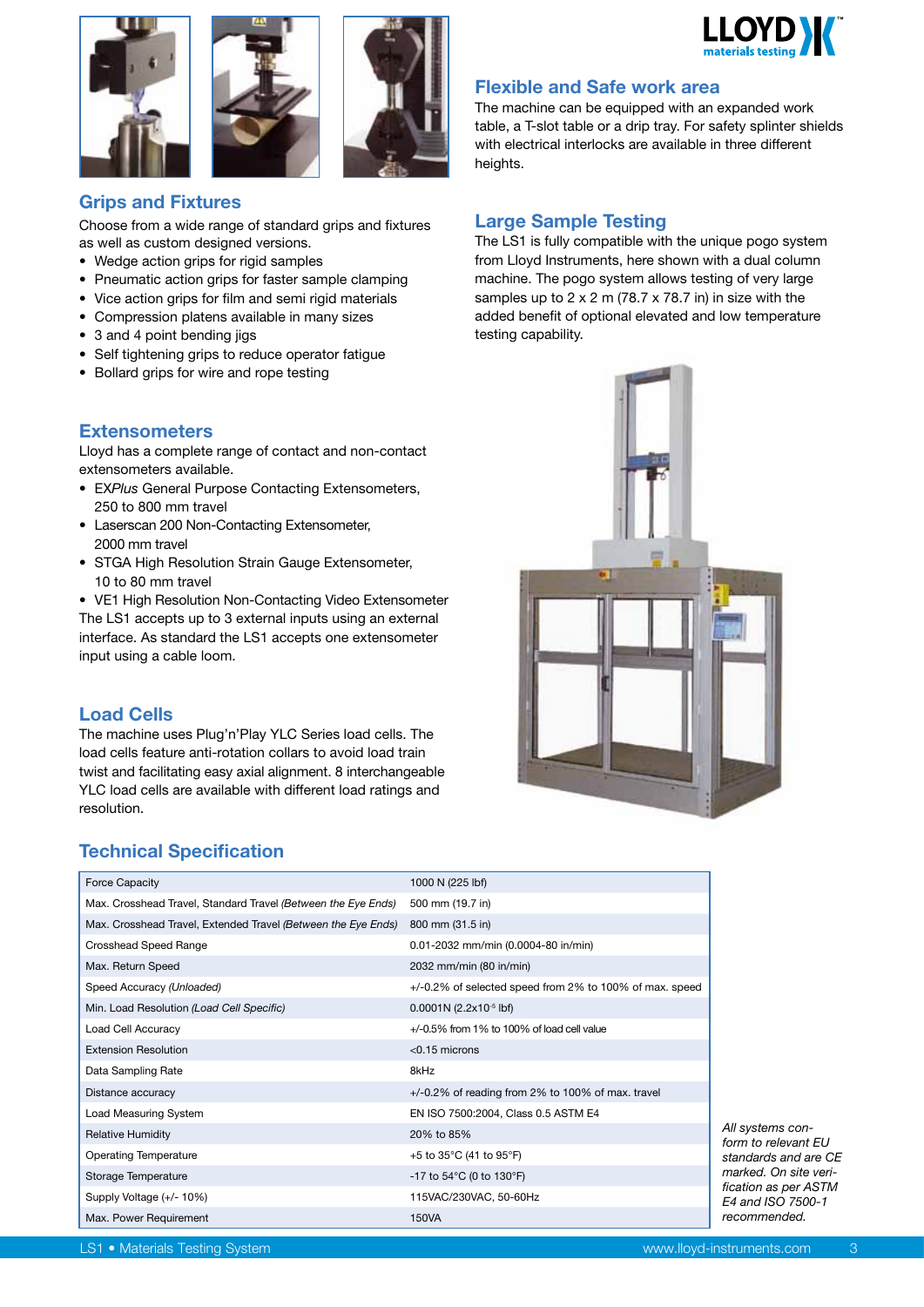





## **Grips and Fixtures**

Choose from a wide range of standard grips and fixtures as well as custom designed versions.

- Wedge action grips for rigid samples
- Pneumatic action grips for faster sample clamping
- Vice action grips for film and semi rigid materials
- Compression platens available in many sizes
- 3 and 4 point bending jigs
- • Self tightening grips to reduce operator fatigue
- Bollard grips for wire and rope testing

## **Extensometers**

Lloyd has a complete range of contact and non-contact extensometers available.

- • EX*Plus* General Purpose Contacting Extensometers, 250 to 800 mm travel
- Laserscan 200 Non-Contacting Extensometer, 2000 mm travel
- STGA High Resolution Strain Gauge Extensometer, 10 to 80 mm travel
- VE1 High Resolution Non-Contacting Video Extensometer The LS1 accepts up to 3 external inputs using an external interface. As standard the LS1 accepts one extensometer input using a cable loom.

## **Load Cells**

The machine uses Plug'n'Play YLC Series load cells. The load cells feature anti-rotation collars to avoid load train twist and facilitating easy axial alignment. 8 interchangeable YLC load cells are available with different load ratings and resolution.

## **Technical Specification**

| <b>Force Capacity</b>                                         | 1000 N (225 lbf)                                        |
|---------------------------------------------------------------|---------------------------------------------------------|
| Max. Crosshead Travel, Standard Travel (Between the Eye Ends) | 500 mm (19.7 in)                                        |
| Max. Crosshead Travel, Extended Travel (Between the Eye Ends) | 800 mm (31.5 in)                                        |
| Crosshead Speed Range                                         | 0.01-2032 mm/min (0.0004-80 in/min)                     |
| Max. Return Speed                                             | 2032 mm/min (80 in/min)                                 |
| Speed Accuracy (Unloaded)                                     | +/-0.2% of selected speed from 2% to 100% of max. speed |
| Min. Load Resolution (Load Cell Specific)                     | $0.0001N(2.2x10^{-5}$ lbf)                              |
| Load Cell Accuracy                                            | $+/-0.5\%$ from 1% to 100% of load cell value           |
| <b>Extension Resolution</b>                                   | $< 0.15$ microns                                        |
| Data Sampling Rate                                            | 8kHz                                                    |
| Distance accuracy                                             | $+/-0.2\%$ of reading from 2% to 100% of max. travel    |
| Load Measuring System                                         | EN ISO 7500:2004, Class 0.5 ASTM E4                     |
| <b>Relative Humidity</b>                                      | 20% to 85%                                              |
| <b>Operating Temperature</b>                                  | +5 to 35°C (41 to 95°F)                                 |
| Storage Temperature                                           | -17 to $54^{\circ}$ C (0 to $130^{\circ}$ F)            |
| Supply Voltage (+/- 10%)                                      | 115VAC/230VAC, 50-60Hz                                  |
| Max. Power Requirement                                        | 150VA                                                   |



## **Flexible and Safe work area**

The machine can be equipped with an expanded work table, a T-slot table or a drip tray. For safety splinter shields with electrical interlocks are available in three different heights.

## **Large Sample Testing**

The LS1 is fully compatible with the unique pogo system from Lloyd Instruments, here shown with a dual column machine. The pogo system allows testing of very large samples up to 2 x 2 m (78.7 x 78.7 in) in size with the added benefit of optional elevated and low temperature testing capability.



*All systems conform to relevant EU standards and are CE marked. On site verification as per ASTM E4 and ISO 7500-1 recommended.*